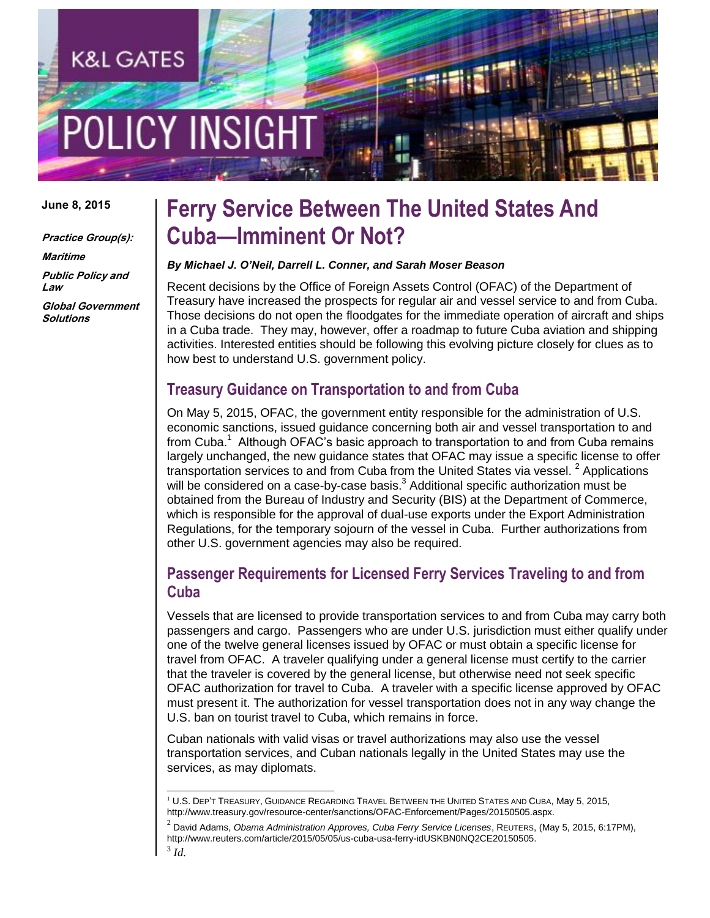# **LICY INSIGH**

K&L GATES

#### **June 8, 2015**

**Practice Group(s): Maritime Public Policy and Law Global Government Solutions**

### **Ferry Service Between The United States And Cuba—Imminent Or Not?**

#### *By Michael J. O'Neil, Darrell L. Conner, and Sarah Moser Beason*

Recent decisions by the Office of Foreign Assets Control (OFAC) of the Department of Treasury have increased the prospects for regular air and vessel service to and from Cuba. Those decisions do not open the floodgates for the immediate operation of aircraft and ships in a Cuba trade. They may, however, offer a roadmap to future Cuba aviation and shipping activities. Interested entities should be following this evolving picture closely for clues as to how best to understand U.S. government policy.

#### **Treasury Guidance on Transportation to and from Cuba**

On May 5, 2015, OFAC, the government entity responsible for the administration of U.S. economic sanctions, issued guidance concerning both air and vessel transportation to and from Cuba.<sup>1</sup> Although OFAC's basic approach to transportation to and from Cuba remains largely unchanged, the new guidance states that OFAC may issue a specific license to offer transportation services to and from Cuba from the United States via vessel.  $2$  Applications will be considered on a case-by-case basis. $3$  Additional specific authorization must be obtained from the Bureau of Industry and Security (BIS) at the Department of Commerce, which is responsible for the approval of dual-use exports under the Export Administration Regulations, for the temporary sojourn of the vessel in Cuba. Further authorizations from other U.S. government agencies may also be required.

#### **Passenger Requirements for Licensed Ferry Services Traveling to and from Cuba**

Vessels that are licensed to provide transportation services to and from Cuba may carry both passengers and cargo. Passengers who are under U.S. jurisdiction must either qualify under one of the twelve general licenses issued by OFAC or must obtain a specific license for travel from OFAC. A traveler qualifying under a general license must certify to the carrier that the traveler is covered by the general license, but otherwise need not seek specific OFAC authorization for travel to Cuba. A traveler with a specific license approved by OFAC must present it. The authorization for vessel transportation does not in any way change the U.S. ban on tourist travel to Cuba, which remains in force.

Cuban nationals with valid visas or travel authorizations may also use the vessel transportation services, and Cuban nationals legally in the United States may use the services, as may diplomats.

2 David Adams, *Obama Administration Approves, Cuba Ferry Service Licenses*, REUTERS, (May 5, 2015, 6:17PM), http://www.reuters.com/article/2015/05/05/us-cuba-usa-ferry-idUSKBN0NQ2CE20150505.

l

 $1 U.S.$  DEP'T TREASURY, GUIDANCE REGARDING TRAVEL BETWEEN THE UNITED STATES AND CUBA, May 5, 2015, http://www.treasury.gov/resource-center/sanctions/OFAC-Enforcement/Pages/20150505.aspx.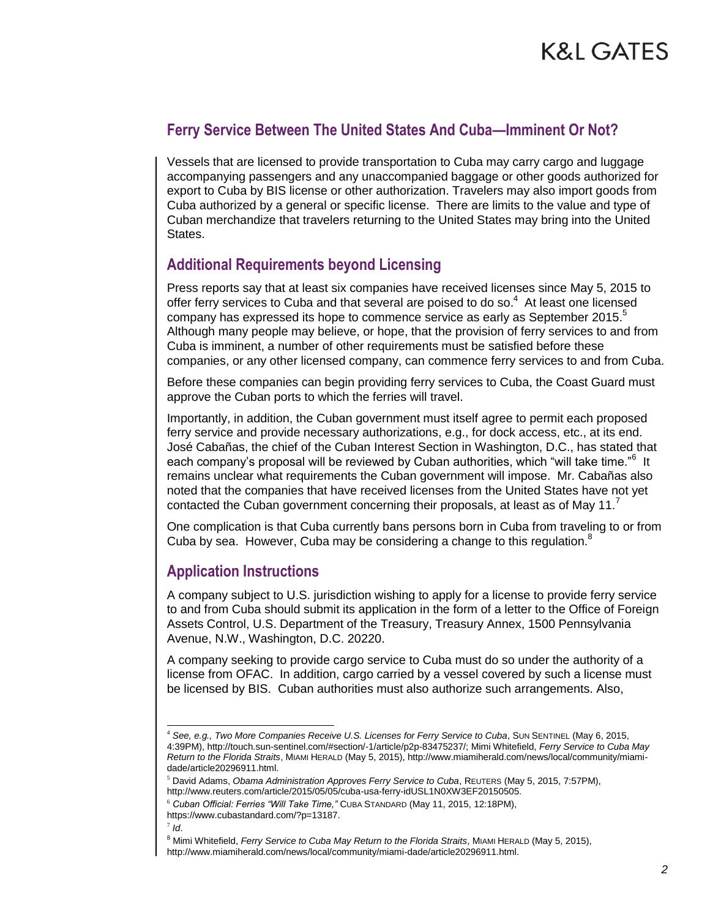#### **Ferry Service Between The United States And Cuba—Imminent Or Not?**

Vessels that are licensed to provide transportation to Cuba may carry cargo and luggage accompanying passengers and any unaccompanied baggage or other goods authorized for export to Cuba by BIS license or other authorization. Travelers may also import goods from Cuba authorized by a general or specific license. There are limits to the value and type of Cuban merchandize that travelers returning to the United States may bring into the United **States** 

#### **Additional Requirements beyond Licensing**

Press reports say that at least six companies have received licenses since May 5, 2015 to offer ferry services to Cuba and that several are poised to do so. $<sup>4</sup>$  At least one licensed</sup> company has expressed its hope to commence service as early as September 2015.<sup>5</sup> Although many people may believe, or hope, that the provision of ferry services to and from Cuba is imminent, a number of other requirements must be satisfied before these companies, or any other licensed company, can commence ferry services to and from Cuba.

Before these companies can begin providing ferry services to Cuba, the Coast Guard must approve the Cuban ports to which the ferries will travel.

Importantly, in addition, the Cuban government must itself agree to permit each proposed ferry service and provide necessary authorizations, e.g., for dock access, etc., at its end. José Cabañas, the chief of the Cuban Interest Section in Washington, D.C., has stated that each company's proposal will be reviewed by Cuban authorities, which "will take time."<sup>6</sup> It remains unclear what requirements the Cuban government will impose. Mr. Cabañas also noted that the companies that have received licenses from the United States have not yet contacted the Cuban government concerning their proposals, at least as of May 11.

One complication is that Cuba currently bans persons born in Cuba from traveling to or from Cuba by sea. However, Cuba may be considering a change to this regulation.<sup>8</sup>

#### **Application Instructions**

A company subject to U.S. jurisdiction wishing to apply for a license to provide ferry service to and from Cuba should submit its application in the form of a letter to the Office of Foreign Assets Control, U.S. Department of the Treasury, Treasury Annex, 1500 Pennsylvania Avenue, N.W., Washington, D.C. 20220.

A company seeking to provide cargo service to Cuba must do so under the authority of a license from OFAC. In addition, cargo carried by a vessel covered by such a license must be licensed by BIS. Cuban authorities must also authorize such arrangements. Also,

l

<sup>4</sup> *See, e.g., Two More Companies Receive U.S. Licenses for Ferry Service to Cuba*, SUN SENTINEL (May 6, 2015, 4:39PM), http://touch.sun-sentinel.com/#section/-1/article/p2p-83475237/; Mimi Whitefield, *Ferry Service to Cuba May Return to the Florida Straits*, MIAMI HERALD (May 5, 2015), http://www.miamiherald.com/news/local/community/miamidade/article20296911.html.

<sup>5</sup> David Adams, *Obama Administration Approves Ferry Service to Cuba*, REUTERS (May 5, 2015, 7:57PM), http://www.reuters.com/article/2015/05/05/cuba-usa-ferry-idUSL1N0XW3EF20150505.

<sup>6</sup> *Cuban Official: Ferries "Will Take Time,"* CUBA STANDARD (May 11, 2015, 12:18PM), https://www.cubastandard.com/?p=13187.

<sup>7</sup> *Id*.

<sup>8</sup> Mimi Whitefield, *Ferry Service to Cuba May Return to the Florida Straits*, MIAMI HERALD (May 5, 2015), http://www.miamiherald.com/news/local/community/miami-dade/article20296911.html.